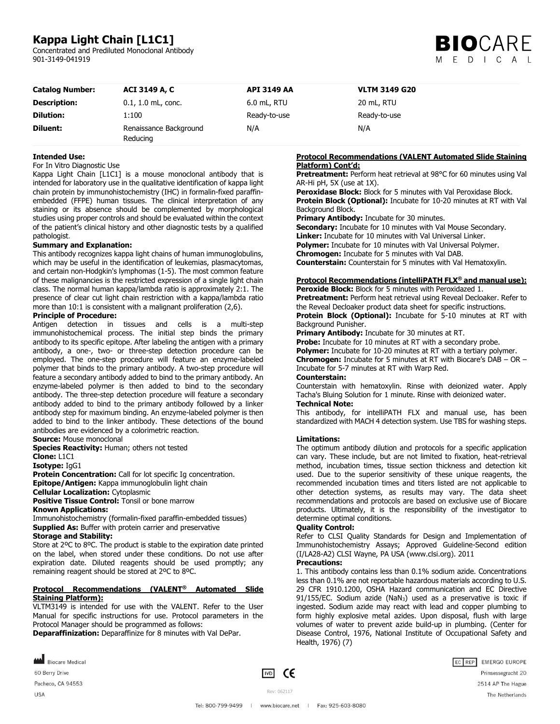# **Kappa Light Chain [L1C1]**

Concentrated and Prediluted Monoclonal Antibody 901-3149-041919



| <b>Catalog Number:</b> | ACI 3149 A, C                      | <b>API 3149 AA</b> | <b>VLTM 3149 G20</b> |  |
|------------------------|------------------------------------|--------------------|----------------------|--|
| <b>Description:</b>    | $0.1, 1.0$ mL, conc.               | 6.0 mL, RTU        | 20 mL, RTU           |  |
| <b>Dilution:</b>       | 1:100                              | Ready-to-use       | Ready-to-use         |  |
| Diluent:               | Renaissance Background<br>Reducing | N/A                | N/A                  |  |

# **Intended Use:**

# For In Vitro Diagnostic Use

Kappa Light Chain [L1C1] is a mouse monoclonal antibody that is intended for laboratory use in the qualitative identification of kappa light chain protein by immunohistochemistry (IHC) in formalin-fixed paraffinembedded (FFPE) human tissues. The clinical interpretation of any staining or its absence should be complemented by morphological studies using proper controls and should be evaluated within the context of the patient's clinical history and other diagnostic tests by a qualified pathologist.

### **Summary and Explanation:**

This antibody recognizes kappa light chains of human immunoglobulins, which may be useful in the identification of leukemias, plasmacytomas, and certain non-Hodgkin's lymphomas (1-5). The most common feature of these malignancies is the restricted expression of a single light chain class. The normal human kappa/lambda ratio is approximately 2:1. The presence of clear cut light chain restriction with a kappa/lambda ratio more than 10:1 is consistent with a malignant proliferation (2,6).

# **Principle of Procedure:**

Antigen detection in tissues and cells is a multi-step immunohistochemical process. The initial step binds the primary antibody to its specific epitope. After labeling the antigen with a primary antibody, a one-, two- or three-step detection procedure can be employed. The one-step procedure will feature an enzyme-labeled polymer that binds to the primary antibody. A two-step procedure will feature a secondary antibody added to bind to the primary antibody. An enzyme-labeled polymer is then added to bind to the secondary antibody. The three-step detection procedure will feature a secondary antibody added to bind to the primary antibody followed by a linker antibody step for maximum binding. An enzyme-labeled polymer is then added to bind to the linker antibody. These detections of the bound antibodies are evidenced by a colorimetric reaction. **Source:** Mouse monoclonal

**Species Reactivity:** Human; others not tested

**Clone:** L1C1

**Isotype:** IgG1

**Protein Concentration:** Call for lot specific Ig concentration. **Epitope/Antigen:** Kappa immunoglobulin light chain **Cellular Localization:** Cytoplasmic

Positive Tissue Control: Tonsil or bone marrow **Known Applications:**

Immunohistochemistry (formalin-fixed paraffin-embedded tissues) **Supplied As:** Buffer with protein carrier and preservative

# **Storage and Stability:**

Store at 2ºC to 8ºC. The product is stable to the expiration date printed on the label, when stored under these conditions. Do not use after expiration date. Diluted reagents should be used promptly; any remaining reagent should be stored at 2ºC to 8ºC.

## **Protocol Recommendations (VALENT® Automated Slide Staining Platform):**

VLTM3149 is intended for use with the VALENT. Refer to the User Manual for specific instructions for use. Protocol parameters in the Protocol Manager should be programmed as follows:

**Deparaffinization:** Deparaffinize for 8 minutes with Val DePar.

Biocare Medical 60 Berry Drive

Pacheco, CA 94553 **USA** 

 $\boxed{VD}$  CE

EC REP EMERGO EUROPE Prinsessegracht 20 2514 AP The Hague The Netherlands

# **Protocol Recommendations (VALENT Automated Slide Staining Platform) Cont'd:**

**Pretreatment:** Perform heat retrieval at 98°C for 60 minutes using Val AR-Hi pH, 5X (use at 1X).

**Peroxidase Block:** Block for 5 minutes with Val Peroxidase Block. **Protein Block (Optional):** Incubate for 10-20 minutes at RT with Val Background Block.

**Primary Antibody: Incubate for 30 minutes.** 

**Secondary:** Incubate for 10 minutes with Val Mouse Secondary. **Linker:** Incubate for 10 minutes with Val Universal Linker. **Polymer:** Incubate for 10 minutes with Val Universal Polymer. **Chromogen:** Incubate for 5 minutes with Val DAB. **Counterstain:** Counterstain for 5 minutes with Val Hematoxylin.

# **Protocol Recommendations (intelliPATH FLX® and manual use):**

**Peroxide Block:** Block for 5 minutes with Peroxidazed 1. **Pretreatment:** Perform heat retrieval using Reveal Decloaker. Refer to the Reveal Decloaker product data sheet for specific instructions.

**Protein Block (Optional):** Incubate for 5-10 minutes at RT with Background Punisher.

**Primary Antibody:** Incubate for 30 minutes at RT.

**Probe:** Incubate for 10 minutes at RT with a secondary probe. **Polymer:** Incubate for 10-20 minutes at RT with a tertiary polymer. **Chromogen:** Incubate for 5 minutes at RT with Biocare's DAB – OR – Incubate for 5-7 minutes at RT with Warp Red. **Counterstain:**

Counterstain with hematoxylin. Rinse with deionized water. Apply Tacha's Bluing Solution for 1 minute. Rinse with deionized water. **Technical Note:**

### This antibody, for intelliPATH FLX and manual use, has been standardized with MACH 4 detection system. Use TBS for washing steps.

### **Limitations:**

The optimum antibody dilution and protocols for a specific application can vary. These include, but are not limited to fixation, heat-retrieval method, incubation times, tissue section thickness and detection kit used. Due to the superior sensitivity of these unique reagents, the recommended incubation times and titers listed are not applicable to other detection systems, as results may vary. The data sheet recommendations and protocols are based on exclusive use of Biocare products. Ultimately, it is the responsibility of the investigator to determine optimal conditions.

# **Quality Control:**

Refer to CLSI Quality Standards for Design and Implementation of Immunohistochemistry Assays; Approved Guideline-Second edition (I/LA28-A2) CLSI Wayne, PA USA (www.clsi.org). 2011

# **Precautions:**

1. This antibody contains less than 0.1% sodium azide. Concentrations less than 0.1% are not reportable hazardous materials according to U.S. 29 CFR 1910.1200, OSHA Hazard communication and EC Directive  $91/155/EC$ . Sodium azide (NaN<sub>3</sub>) used as a preservative is toxic if ingested. Sodium azide may react with lead and copper plumbing to form highly explosive metal azides. Upon disposal, flush with large volumes of water to prevent azide build-up in plumbing. (Center for Disease Control, 1976, National Institute of Occupational Safety and Health, 1976) (7)